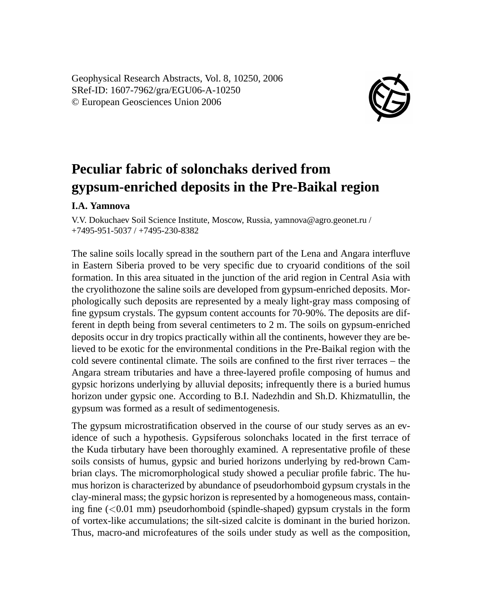Geophysical Research Abstracts, Vol. 8, 10250, 2006 SRef-ID: 1607-7962/gra/EGU06-A-10250 © European Geosciences Union 2006



## **Peculiar fabric of solonchaks derived from gypsum-enriched deposits in the Pre-Baikal region**

## **I.A. Yamnova**

V.V. Dokuchaev Soil Science Institute, Moscow, Russia, yamnova@agro.geonet.ru / +7495-951-5037 / +7495-230-8382

The saline soils locally spread in the southern part of the Lena and Angara interfluve in Eastern Siberia proved to be very specific due to cryoarid conditions of the soil formation. In this area situated in the junction of the arid region in Central Asia with the cryolithozone the saline soils are developed from gypsum-enriched deposits. Morphologically such deposits are represented by a mealy light-gray mass composing of fine gypsum crystals. The gypsum content accounts for 70-90%. The deposits are different in depth being from several centimeters to 2 m. The soils on gypsum-enriched deposits occur in dry tropics practically within all the continents, however they are believed to be exotic for the environmental conditions in the Pre-Baikal region with the cold severe continental climate. The soils are confined to the first river terraces – the Angara stream tributaries and have a three-layered profile composing of humus and gypsic horizons underlying by alluvial deposits; infrequently there is a buried humus horizon under gypsic one. According to B.I. Nadezhdin and Sh.D. Khizmatullin, the gypsum was formed as a result of sedimentogenesis.

The gypsum microstratification observed in the course of our study serves as an evidence of such a hypothesis. Gypsiferous solonchaks located in the first terrace of the Kuda tirbutary have been thoroughly examined. A representative profile of these soils consists of humus, gypsic and buried horizons underlying by red-brown Cambrian clays. The micromorphological study showed a peculiar profile fabric. The humus horizon is characterized by abundance of pseudorhomboid gypsum crystals in the clay-mineral mass; the gypsic horizon is represented by a homogeneous mass, containing fine  $( $0.01 \text{ mm}$ )$  pseudorhomboid (spindle-shaped) gypsum crystals in the form of vortex-like accumulations; the silt-sized calcite is dominant in the buried horizon. Thus, macro-and microfeatures of the soils under study as well as the composition,